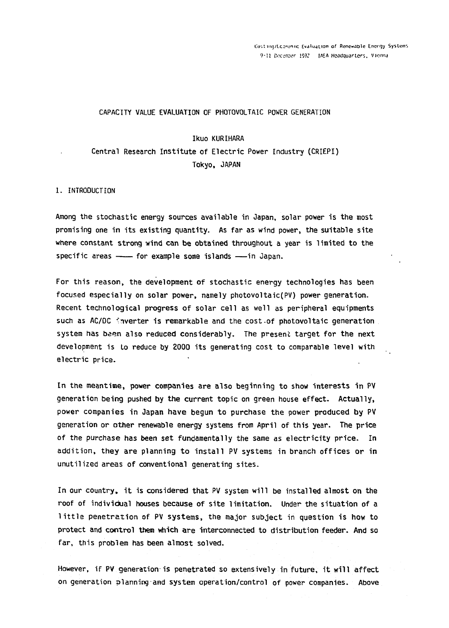#### **CAPACITY VALUE EVALUATION OF PHOTOVOLTAIC POWER GENERATION**

#### **Ikuo KURIHARA**

**Central Research Institute of Electric Power Industry (CRIEPI) Tokyo, JAPAN** 

#### **1. INTRODUCTION**

**Among the stochastic energy sources available in Japan, solar power is the most promising one in its existing quantity. As far as wind power, the suitable site where constant strong wind can be obtained throughout a year is limited to the**  specific areas -- for example some islands -- in Japan.

**For this reason, the development of stochastic energy technologies has been focused especially on solar power, namely photovoltaic(PV) power generation. Recent technological progress of solar cell as well as peripheral equipments**  such as AC/DC inverter is remarkable and the cost of photovoltaic generation **system has been also reduced considerably. The present target for the next development is to reduce by 2000 its generating cost to comparable level with electric price.** 

**In the meantime, power companies are also beginning to show interests in PV generation being pushed by the current topic on green house effect. Actually, power companies in Japan have begun to purchase the power produced by PV generation or other renewable energy systems from April of this year. The price of the purchase has been set fundamentally the same as electricity price . In**  addition, they are planning to install PV systems in branch offices or in **unutilized areas of conventional generating sites.** 

**In our country, it is considered that PV system will be installed almost on the roof of individual houses because of site limitation. Under the situation of a**  little penetration of PV systems, the major subject in question is how to **protect and control them which ar e interconnected to distribution feeder. And so far , this problem has been almost solved.** 

**However, if PV generation is penetrated so extensively in future, it will affect**  on generation planning and system operation/control of power companies. Above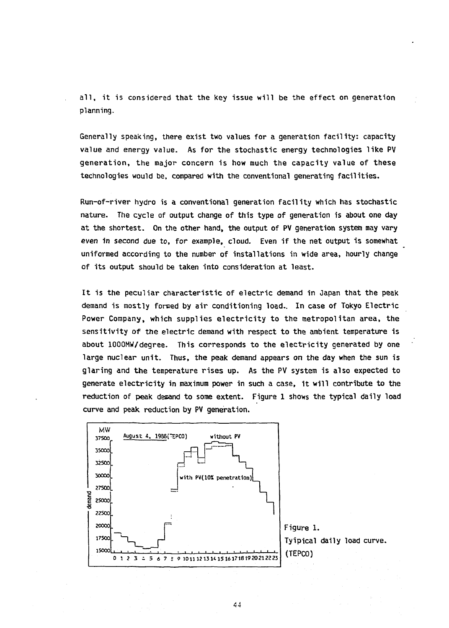all, it is considered that the key issue will be the effect on generation **planning.** 

**Generally speaking, there exist two values for a generation facility: capacity value and energy value. As for the stochastic energy technologies like PV generation , the major concern is how much the capacit y value of these technologies would be, compared with the conventional generating facilities.** 

**Run-of-river hydro is a conventional generation facilit y which has stochastic nature. The cycle of output change of this type of generation is about one day at the shortest. On the other hand, the output of PV generation system may vary even in second due to, for example, cloud. Even if the net output is somewhat uniformed according to the number of installations in wide area, hourly change of its output should be taken into consideration at least.** 

It is the peculiar characteristic of electric demand in Japan that the peak demand is mostly formed by air conditioning load. In case of Tokyo Electric Power Company, which supplies electricity to the metropolitan area, the sensitivity of the electric demand with respect to the ambient temperature is **about 1000MW7degree. This corresponds to the electricit y generated by one large nuclear unit. Thus, the peak demand appears on the day when the sun is**  glaring and the temperature rises up. As the PV system is also expected to **generate electricity in maximum power in such a case, it will contribute to the reduction of peak demand to some extent. Figure 1 shows the typical daily load curve and peak reduction by PV generation.** 

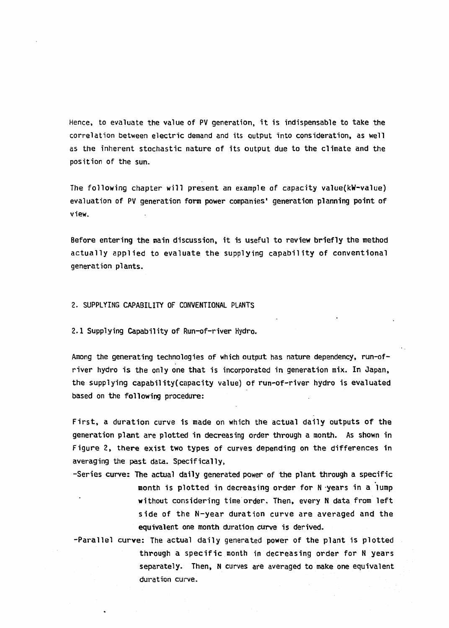**Hence, to evaluate the value of PV generation, it is indispensable to take the correlation between electric demand and its output into consideration, as well as the inherent stochastic nature of its output due to the climate and the position of the sun.** 

**The following chapter wil l present an example of capacity value(kW-value ) evaluation of PV generation form power companies' generation planning point of view.** 

Before entering the main discussion, it is useful to review briefly the method **actuall y applie d to evaluat e the supplying capabilit y of conventional generation plants.** 

# **2. SUPPLYING CAPABILITY OF CONVENTIONAL PLANTS**

**2.1 Supplying Capability of Run-of-river Hydro.** 

**Among the generating technologies of which output has nature dependency, run-ofrive r hydro is the only one that is incorporated in generation mix. In Japan,**  the supplying capability(capacity value) of run-of-river hydro is evaluated **based on the following procedure:** 

**First , a duration curve is made on which the actual dail y outputs of the generation plant are plotted in decreasing order through a month. As shown in Figur e 2, ther e exist two types of curves depending on the difference s in averaging the past data. Specifically,** 

- **-Series curve: The actual daily generated power of the plant through a specific nonth is plotted in decreasing order for N years in a lump without considering time order. Then, every N data from left**  side of the N-year duration curve are averaged and the **equivalent one month duration curve is derived.**
- **-Paralle l curve : The actual dail y generated power of the plant is plotted**  through a specific month in decreasing order for N years **separately. Then, N curves are averaged to make one equivalent duration curve.**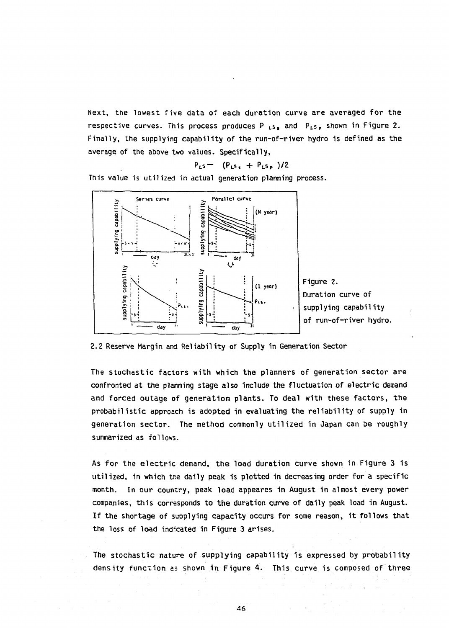Next, the lowest five data of each duration curve are averaged for the **respective curves. This process produces P<sup>L</sup> s, and P <sup>L</sup> s <sup>P</sup> shown in Figure 2.**  Finally, the supplying capability of the run-of-river hydro is defined as the **average of the above two values. Specifically,** 

$$
P_{L5} = (P_{L5} + P_{L5} / 2)
$$

**This value is utilized in actual generation planning process.** 



**2.2 Reserve Margin and Reliability of Supply in Generation Sector** 

The stochastic factors with which the planners of generation sector are **confronted at the planning stage also include the fluctuation of electric demand and forced outage of generation plants. To deal with these factors, the**  probabilistic approach is adopted in evaluating the reliability of supply in generation sector. The method commonly utilized in Japan can be roughly **summarized as follows.** 

**As fo r the electri c demand, the load duration curve shown in Figure 3 is utilized, in which trie daily peak is plotted in decreasing order for a specific month. In our country, peak load appeares in August in almost every power companies, this corresponds to the duration curve of daily peak load in August. If the shortage of supplying capacity occurs for some reason, it follows that the loss of load indicated in Figure 3 arises.** 

The stochastic nature of supplying capability is expressed by probability **density function as shown in Figur e** 4 . **This curve is composed of thre e**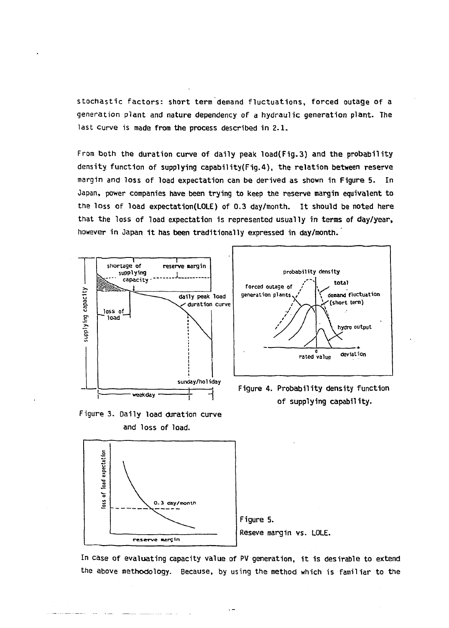**stochasti c factors: short term demand fluctuations, forced outage of a generation plant and nature dependency of a hydraulic generation plant- The last curve is made from the process described in 2.1.** 

**From both the duration curve of daily peak load(Fig.3 ) and the probability density function of supplying capability(Fig.4), the relation between reserve margin and loss of load expectation can be derived as shown in Figure 5. In Japan, power companies have been trying to keep the reserve margin equivalent to the loss of load expectation(LOLE) of 0.3 day/month. It should be noted here that the loss of load expectation is represented usually in terms of day/year, however in Japan it has been traditionally expressed in day/month.** 



**Figure 3. Daily load duration curve** 



**Figure 4. Probability density function of supplying capability.** 



**In case of evaluating capacity value of PV generation, it is desirable to extend the above methodology. Because, by using the method which is familiar to the** 

 $\overline{a}$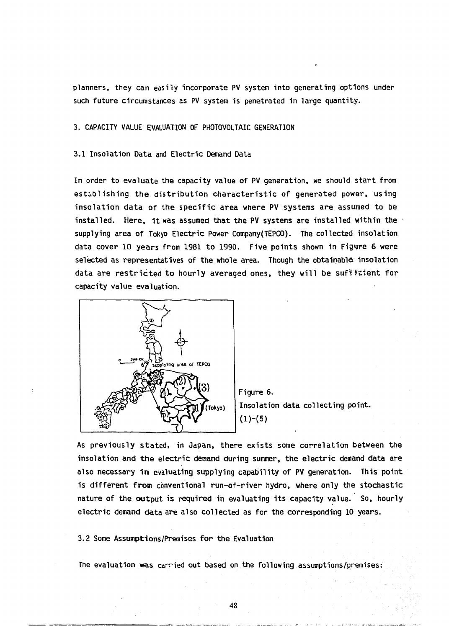**planners, they can easily incorporate PV system into generating options under such future circumstances as PV system is penetrated in large quantity.** 

**3. CAPACITY VALUE EVALUATION OF PHOTOVOLTAIC GENERATION** 

#### **3.1 Insolation Data and Electric Demand Data**

In order to evaluate the capacity value of PV generation, we should start from **establishin g the distributio n characteristi c of generated power, using**  insolation data of the specific area where PV systems are assumed to be **installed. Here, it was assumed that the PV systems are installed within the supplying area of Tokyo Electric Power Company(TEPCO). The collected insolation**  data cover 10 years from 1981 to 1990. Five points shown in Figure 6 were **selected as representatives of the whole area. Though the obtainable insolation**  data are restricted to hourly averaged ones, they will be suffletent for **capacity value evaluation.** 





**As previousl y stated, in Japan, there exists some correlation between the**  insolation and the electric demand during summer, the electric demand data are **also necessary i n evaluating supplying capability of PV generation. This point**  is different from conventional run-of-river hydro, where only the stochastic **nature of the output is required in evaluating its capacity value. So, hourly electri c demand data are also collected as for the corresponding 10 years.** 

**3.2 Some Assumptions/Premises fo r the Evaluation** 

**The evaluation was carried out based on the following assumptions/premises:**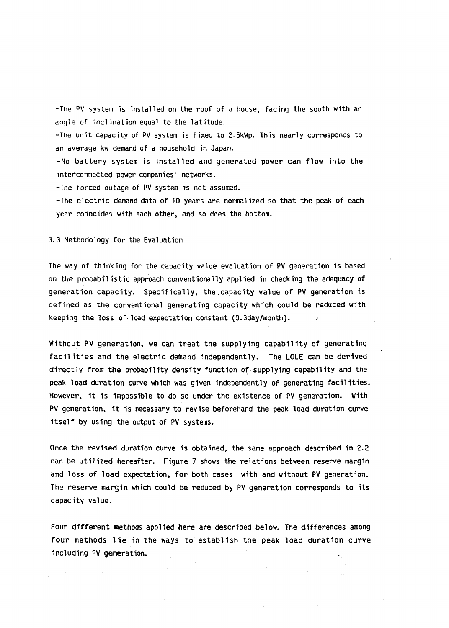**-The P V system is installed on the roof of a house, facing the south with an angle of inclination equal to the latitude.** 

**-The unit capacity of PV system is fixed to 2.5kWp. This nearly corresponds to an average kw demand of a household in Japan.** 

**-No batter y system is installed and generated power can flow into the interconnected power companies' networks.** 

**-The forced outage of PV system is not assumed.** 

-The electric demand data of 10 years are normalized so that the peak of each **year coincides with each other, and so does the bottom.** 

### **3.3 Methodology for the Evaluation**

**The way of thinking for the capacity value evaluation of PV generation is based**  on the probabilistic approach conventionally applied in checking the adequacy of **generation capacity. Specifically , the capacity value of PV generation is defined as the conventional generating capacity which could be reduced with keeping the loss of•load expectation constant (0.3day/month).** 

**Without PV generation, we can treat the supplying capability of generating** facilities and the electric demand independently. The LOLE can be derived **directly from the probability density function of-supplying capability and the peak load duration curve which was given independently of generating facilities. However, it is impossible to do so under the existence of PV generation. With PV generation, it is necessary to revise beforehand the peak load duration curve itself by using the output of PV systems.** 

**Once the revised duration curve is obtained, the same approach described in 2.2 can be utilized hereafter. Figure 7 shows the relations between reserve margin and loss of load expectation, for both cases with and without PV generation. The reserve margin which could be reduced by PV generation corresponds to its capacity value.** 

**Four different nethods applied here are described below. The differences among**  four methods lie in the ways to establish the peak load duration curve **including PV generation.**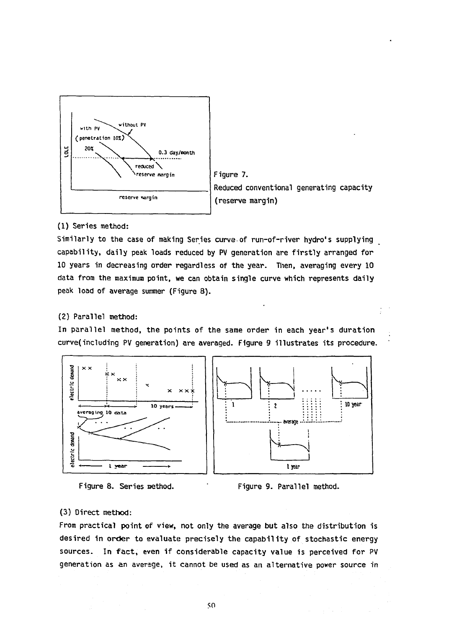

**Figure 7. Reduced conventional generating capacity (reserve margin)** 

## **(1) Series method:**

**Similarly to the case of making Series curve of run-of-river hydro's supplying**  capability, daily peak loads reduced by PV generation are firstly arranged for **10 years in decreasing order regardless of the year. Then, averaging every 10 data from the maximum point, we can obtain single curve which represents daily peak load of average summer (Figure 8).** 

### **( 2 ) Parallel method:**

In parallel method, the points of the same order in each year's duration **curve(including PV generation) are averaged. Figure 9 illustrates its procedure.** 







### **(3) Direct method:**

**From practical point of view, not only the average but also the distribution is**  desired in order to evaluate precisely the capability of stochastic energy **sources. In fact , even if considerable capacity value is perceived fo r PV generation as an average, it cannot be used as an alternative power source in**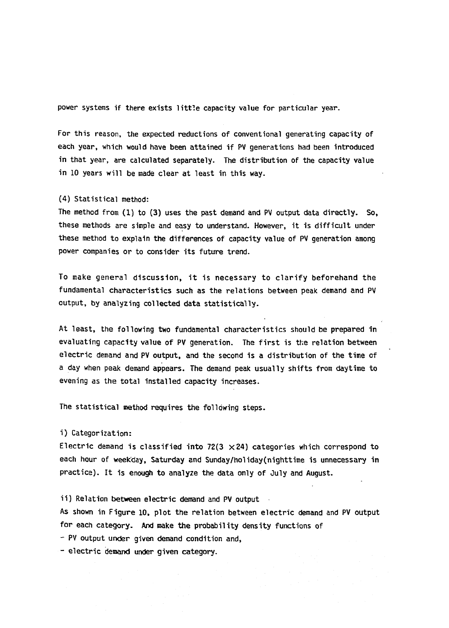power systems if there exists little capacity value for particular year.

**For this reason, the expected reductions of conventional generating capacity of each year, which would have been attained if PV generations had been introduced in that year, are calculated separately. The distribution of the capacity value in 10 years will be made clear at least in this way.** 

### **(4) Statistical method:**

**The method from (1 ) to (3 ) uses the past demand and PV output data directly. So, these methods are simple and easy to understand. However, it is difficult under these method to explain the differences of capacity value of PV generation among power companies or to consider its future trend.** 

**To make general discussion, it is necessary to clarif y beforehand the fundamental characteristics such as the relations between peak demand and PV output, by analyzing collected data statistically.** 

**At least, the following two fundamental characteristics should be prepared in evaluating capacity value of PV generation. The first is the relation between electri c demand and PV output, and the second is a distribution of the time of a day when peak demand appears. The demand peak usually shifts from daytime to evening as the total installed capacity increases.** 

**The statistical method requires the following steps.** 

## **i ) Categorization:**

Electric demand is classified into 72(3  $\times$  24) categories which correspond to **each hour of weekday, Saturday and Sunday/holiday(nighttime is unnecessary in practice). It is enough to analyze the data only of July and August.** 

**i i ) Relation between electric demand and PV output** 

As shown in Figure 10, plot the relation between electric demand and PV output **for each category. And make the probability density functions of** 

**- PV output under given demand condition and,** 

- electric demand under given category.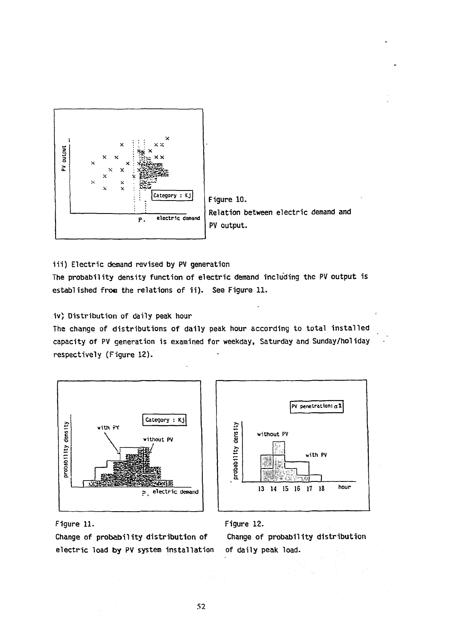

**iii ) Electric demand revised by PV generation** 

**The probability density function of electric demand including the PV output is**  established from the relations of ii). See Figure 11.

**iv) Distribution of daily peak hour** 

**The change of distributions of daily peak hour according to total installed capacity of PV generation is examined for weekday, Saturday and Sunday/hoiiday respectively (Figure 12).** 





**Figure 11.** 

**Change of probability distribution of electric load by PV system installation** 



**Change of probability distribution of daily peak load.**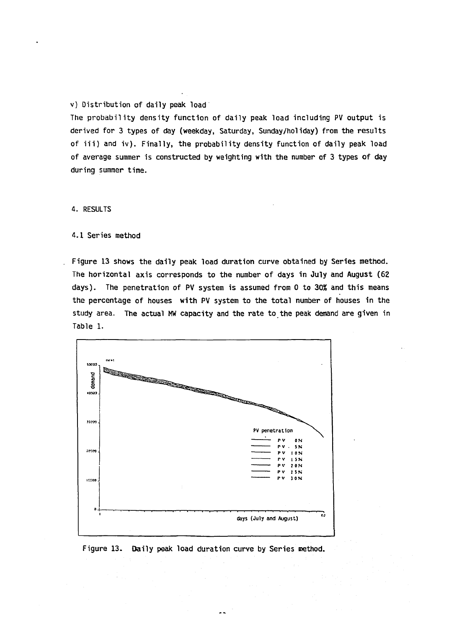### **v) Distribution of daily peak load**

**The probabilit y density function of daily peak load including PV output is derived for 3 types of day (weekday, Saturday, Sunday/holiday) from the results of iii ) and iv). Finally, the probability density function of daily peak load of average summer is constructed by weighting with the number of 3 types of day during summer time.** 

**4. RESULTS** 

 $\overline{a}$ 

**4.1 Series method** 

**Figure 13 shows the daily peak load duration curve obtained by Series method. The horizontal axis corresponds to the number of days in July and August (62 days). The penetration of PV system is assumed from 0 to** *30%* **and this means the percentage of houses with PV system to the total number of houses in the study area. The actual MW capacity and the rate to the peak demand are given in Table 1.** 



**Figure 13. Daily peak load duration curve by Series method.**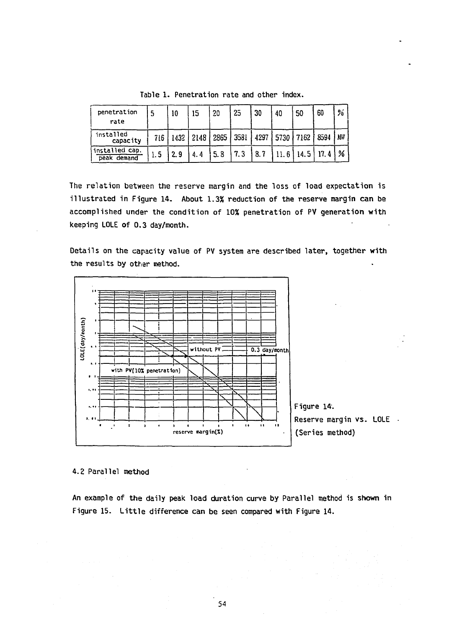| penetration<br>rate           | 5   | 10  | 15        | 20   | 25   | 30   | 40   | 50   | 60   | %   |
|-------------------------------|-----|-----|-----------|------|------|------|------|------|------|-----|
| installed<br>capacity         | 716 |     | 1432 2148 | 2865 | 3581 | 4297 | 5730 | 7162 | 8594 | W), |
| installed cap.<br>peak demand |     | 2.9 | 4.4       | 5.8  | 7.3  | 8.7  | 11.6 | 14.5 | 17.4 | %   |

**Table 1. Penetration rate and other index.** 

**The relation between the reserve margin and the loss of load expectation is illustrated in Figure 14. About 1.3% reduction of the reserve margin can be accomplished under the condition of 10% penetration of PV generation with keeping LOLE of 0.3 day/month.** 

**Details on the capacity value of PV system are described later, together with**  the results by other method.



**4**.2 **Parallel method** 

**An example of the daily peak load duration curve by Parallel method is shown in**  Figure 15. Little difference can be seen compared with Figure 14.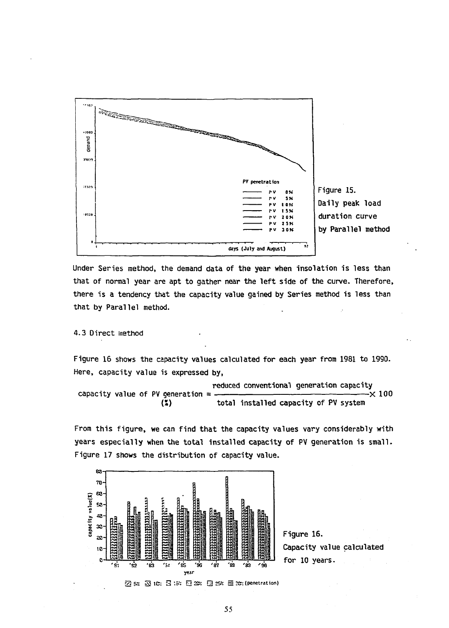

**Daily peak load duration curve by Parallel method** 

**Under Series method, the demand data of the year when insolation is less than that of normal year are apt to gather near the left side of the curve. Therefore, there is a tendency that the capacity value gained by Series method is less than**  that by Parallel method.

#### **4.3 Direc t method**

**Figure 16 shows the capacity values calculated for each year from 1981 to 1990. Here, capacity value is expressed by,** 

**reduced conventional generation capacity**  capacity value of PV generation =  $\binom{2}{2}$ total installed capacity of PV system

**From this figure , we can find that the capacity values vary considerably with years especiall y when the total installed capacity of PV generation is small. Figure 17 shows the distribution of capacity value.** 



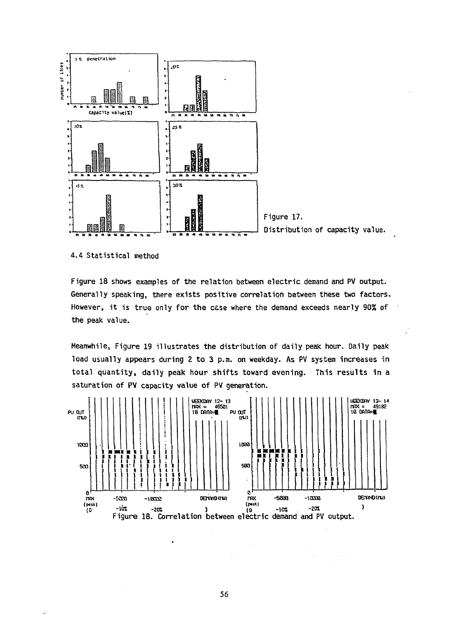

4.4 Statistical method

Figure 18 shows examples of the relation between electric demand and PV output. Generally speaking, there exists positive correlation between these two factors. However, it is true only for the case where the demand exceeds nearly 90% of the peak value.

Meanwhile, Figure 19 illustrates the distribution of daily peak hour. Daily peak load usually appears during 2 to 3 p.m. on weekday. As PV system increases in total quantity, daily peak hour shifts toward evening. This results in a saturation of PV capacity value of PV generation.



56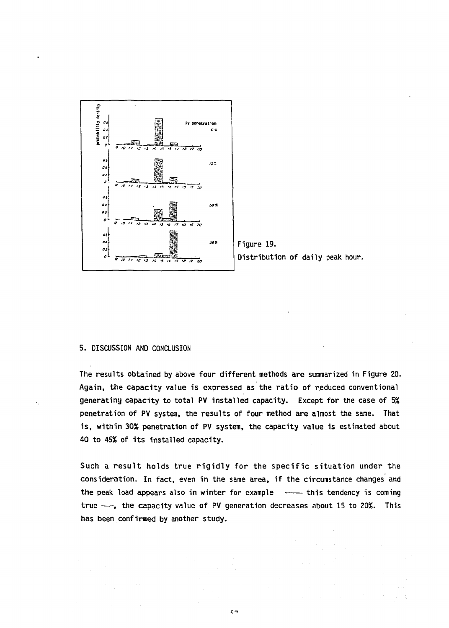



#### 5. DISCUSSION AND CONCLUSION

The results obtained by above four different methods are summarized in Figure 20. Again, the capacity value is expressed as the ratio of reduced conventional generating capacity to total PV installed capacity. Except for the case of 5% penetration of PV system, the results of four method are almost the same. That is, within 30% penetration of PV system, the capacity value is estimated about 40 to 45% of its installed capacity.

Such a result holds true rigidly for the specific situation under the consideration. In fact, even in the same area, if the circumstance changes and the peak load appears also in winter for example -- this tendency is coming true -, the capacity value of PV generation decreases about 15 to 20%. This has been confirmed by another study.

 $57$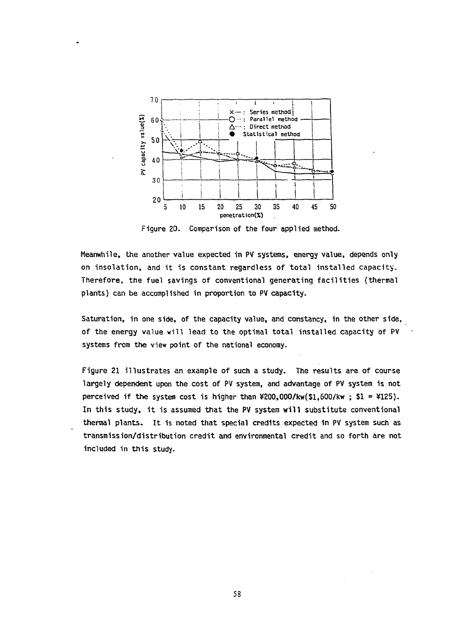

**Figure 20. Comparison of the four applied method.** 

**Meanwhile, the another value expected in PV systems, energy value, depends only on insolation, and it is constant regardless of total installed capacity.**  Therefore, the fuel savings of conventional generating facilities (thermal **plants) can be accomplished in proportion to PV capacity.** 

**Saturation, in one side, of the capacity value, and constancy, in the other side, of the energy value will lead to the optimal total installed capacity of PV systems from the view point of the national economy.** 

Figure 21 illustrates an example of such a study. The results are of course **largely dependent upon the cost of PV system, and advantage of PV system is not perceived if the system cost is higher than ¥200,000/kw(\$l,600/kw ; \$1 = ¥125).**  In this study, it is assumed that the PV system will substitute conventional **thermal plants. It is noted that special credits expected in PV system such as transmission/distribution credit and environmental credit and so forth are not included in this study.**